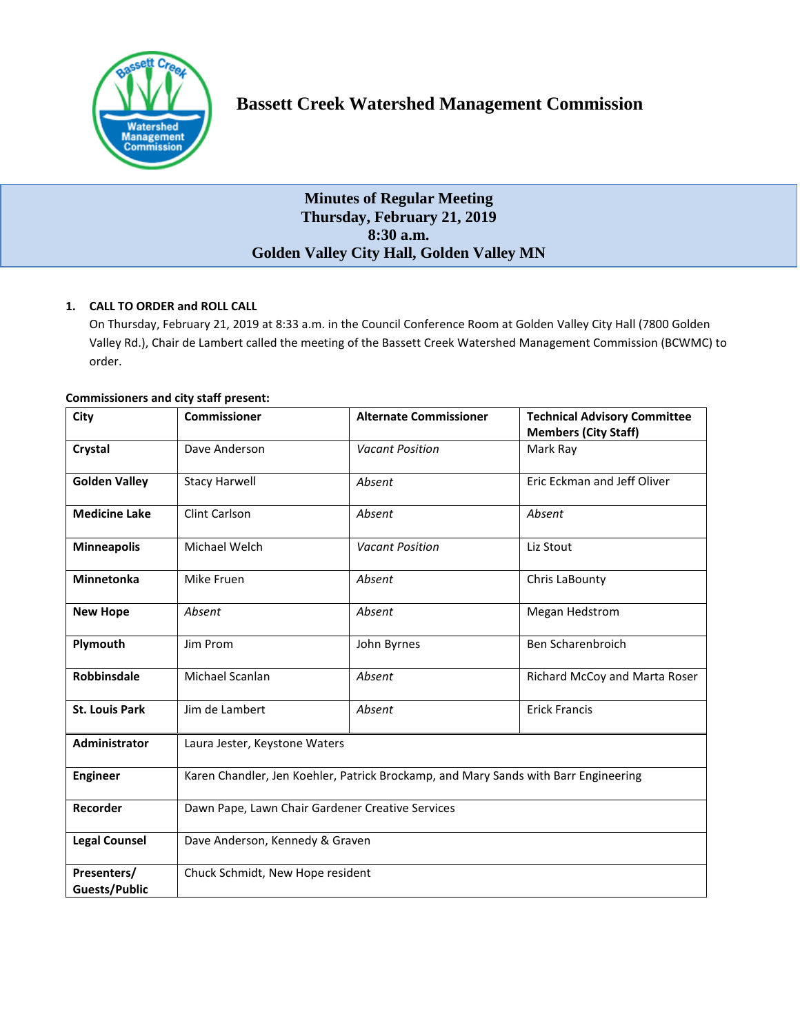

# **Bassett Creek Watershed Management Commission**

# **Minutes of Regular Meeting Thursday, February 21, 2019 8:30 a.m. Golden Valley City Hall, Golden Valley MN**

# **1. CALL TO ORDER and ROLL CALL**

On Thursday, February 21, 2019 at 8:33 a.m. in the Council Conference Room at Golden Valley City Hall (7800 Golden Valley Rd.), Chair de Lambert called the meeting of the Bassett Creek Watershed Management Commission (BCWMC) to order.

| <b>Commissioners and city staff present:</b> |  |
|----------------------------------------------|--|
|----------------------------------------------|--|

| City                                | <b>Commissioner</b>                                                                 | <b>Alternate Commissioner</b> | <b>Technical Advisory Committee</b><br><b>Members (City Staff)</b> |
|-------------------------------------|-------------------------------------------------------------------------------------|-------------------------------|--------------------------------------------------------------------|
| Crystal                             | Dave Anderson                                                                       | <b>Vacant Position</b>        | Mark Ray                                                           |
| <b>Golden Valley</b>                | <b>Stacy Harwell</b>                                                                | Absent                        | Eric Eckman and Jeff Oliver                                        |
| <b>Medicine Lake</b>                | Clint Carlson                                                                       | Absent                        | Absent                                                             |
| <b>Minneapolis</b>                  | Michael Welch                                                                       | <b>Vacant Position</b>        | Liz Stout                                                          |
| <b>Minnetonka</b>                   | Mike Fruen                                                                          | Absent                        | Chris LaBounty                                                     |
| <b>New Hope</b>                     | Absent                                                                              | Absent                        | <b>Megan Hedstrom</b>                                              |
| Plymouth                            | Jim Prom                                                                            | John Byrnes                   | <b>Ben Scharenbroich</b>                                           |
| <b>Robbinsdale</b>                  | Michael Scanlan                                                                     | Absent                        | Richard McCoy and Marta Roser                                      |
| <b>St. Louis Park</b>               | Jim de Lambert                                                                      | Absent                        | <b>Erick Francis</b>                                               |
| Administrator                       | Laura Jester, Keystone Waters                                                       |                               |                                                                    |
| <b>Engineer</b>                     | Karen Chandler, Jen Koehler, Patrick Brockamp, and Mary Sands with Barr Engineering |                               |                                                                    |
| Recorder                            | Dawn Pape, Lawn Chair Gardener Creative Services                                    |                               |                                                                    |
| <b>Legal Counsel</b>                | Dave Anderson, Kennedy & Graven                                                     |                               |                                                                    |
| Presenters/<br><b>Guests/Public</b> | Chuck Schmidt, New Hope resident                                                    |                               |                                                                    |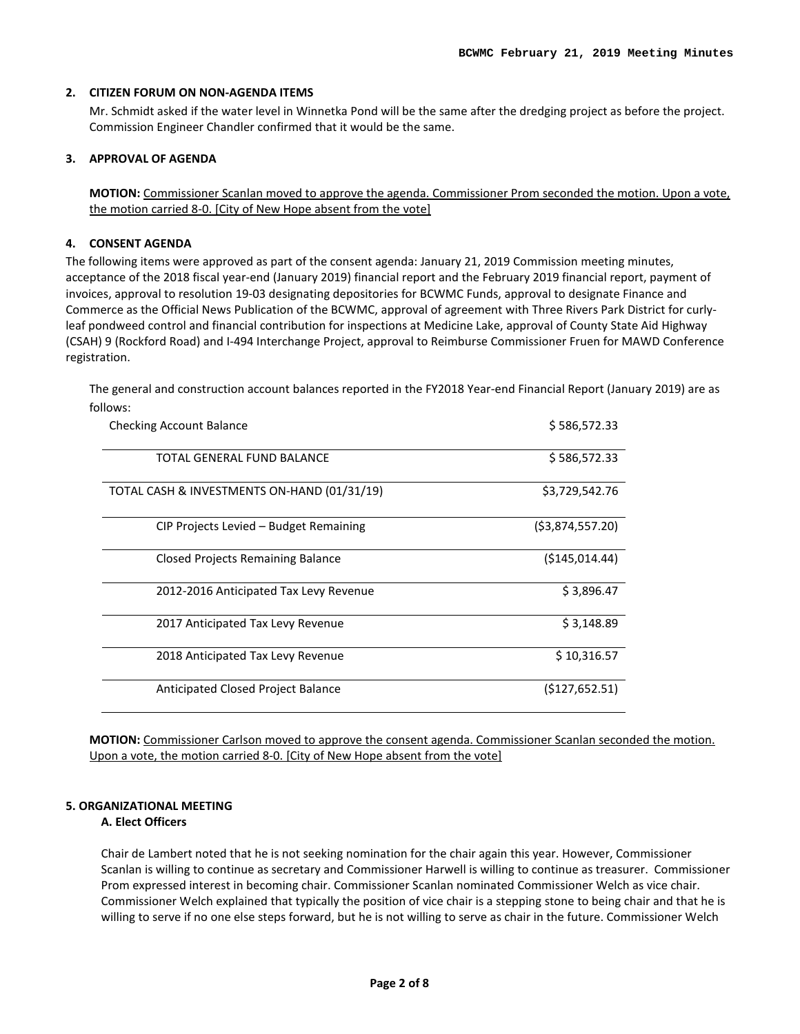## **2. CITIZEN FORUM ON NON-AGENDA ITEMS**

Mr. Schmidt asked if the water level in Winnetka Pond will be the same after the dredging project as before the project. Commission Engineer Chandler confirmed that it would be the same.

## **3. APPROVAL OF AGENDA**

**MOTION:** Commissioner Scanlan moved to approve the agenda. Commissioner Prom seconded the motion. Upon a vote, the motion carried 8-0. [City of New Hope absent from the vote]

## **4. CONSENT AGENDA**

The following items were approved as part of the consent agenda: January 21, 2019 Commission meeting minutes, acceptance of the 2018 fiscal year-end (January 2019) financial report and the February 2019 financial report, payment of invoices, approval to resolution 19-03 designating depositories for BCWMC Funds, approval to designate Finance and Commerce as the Official News Publication of the BCWMC, approval of agreement with Three Rivers Park District for curlyleaf pondweed control and financial contribution for inspections at Medicine Lake, approval of County State Aid Highway (CSAH) 9 (Rockford Road) and I-494 Interchange Project, approval to Reimburse Commissioner Fruen for MAWD Conference registration.

The general and construction account balances reported in the FY2018 Year-end Financial Report (January 2019) are as follows:

| <b>Checking Account Balance</b>             | \$586,572.33      |
|---------------------------------------------|-------------------|
| TOTAL GENERAL FUND BALANCE                  | \$586,572.33      |
| TOTAL CASH & INVESTMENTS ON-HAND (01/31/19) | \$3,729,542.76    |
| CIP Projects Levied – Budget Remaining      | ( \$3,874,557.20) |
| Closed Projects Remaining Balance           | (\$145,014.44)    |
| 2012-2016 Anticipated Tax Levy Revenue      | \$3,896.47        |
| 2017 Anticipated Tax Levy Revenue           | \$3,148.89        |
| 2018 Anticipated Tax Levy Revenue           | \$10,316.57       |
| Anticipated Closed Project Balance          | (5127, 652.51)    |

**MOTION:** Commissioner Carlson moved to approve the consent agenda. Commissioner Scanlan seconded the motion. Upon a vote, the motion carried 8-0. [City of New Hope absent from the vote]

## **5. ORGANIZATIONAL MEETING**

## **A. Elect Officers**

Chair de Lambert noted that he is not seeking nomination for the chair again this year. However, Commissioner Scanlan is willing to continue as secretary and Commissioner Harwell is willing to continue as treasurer. Commissioner Prom expressed interest in becoming chair. Commissioner Scanlan nominated Commissioner Welch as vice chair. Commissioner Welch explained that typically the position of vice chair is a stepping stone to being chair and that he is willing to serve if no one else steps forward, but he is not willing to serve as chair in the future. Commissioner Welch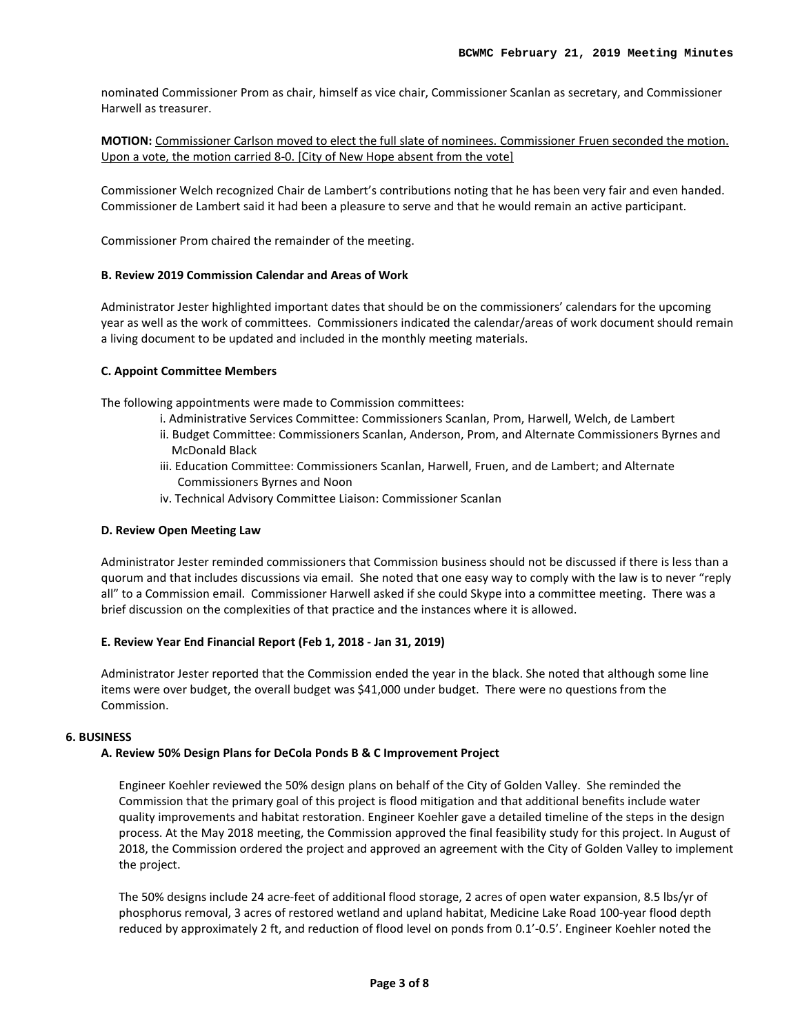nominated Commissioner Prom as chair, himself as vice chair, Commissioner Scanlan as secretary, and Commissioner Harwell as treasurer.

**MOTION:** Commissioner Carlson moved to elect the full slate of nominees. Commissioner Fruen seconded the motion. Upon a vote, the motion carried 8-0. [City of New Hope absent from the vote]

Commissioner Welch recognized Chair de Lambert's contributions noting that he has been very fair and even handed. Commissioner de Lambert said it had been a pleasure to serve and that he would remain an active participant.

Commissioner Prom chaired the remainder of the meeting.

#### **B. Review 2019 Commission Calendar and Areas of Work**

Administrator Jester highlighted important dates that should be on the commissioners' calendars for the upcoming year as well as the work of committees. Commissioners indicated the calendar/areas of work document should remain a living document to be updated and included in the monthly meeting materials.

#### **C. Appoint Committee Members**

The following appointments were made to Commission committees:

- i. Administrative Services Committee: Commissioners Scanlan, Prom, Harwell, Welch, de Lambert
- ii. Budget Committee: Commissioners Scanlan, Anderson, Prom, and Alternate Commissioners Byrnes and McDonald Black
- iii. Education Committee: Commissioners Scanlan, Harwell, Fruen, and de Lambert; and Alternate Commissioners Byrnes and Noon
- iv. Technical Advisory Committee Liaison: Commissioner Scanlan

#### **D. Review Open Meeting Law**

Administrator Jester reminded commissioners that Commission business should not be discussed if there is less than a quorum and that includes discussions via email. She noted that one easy way to comply with the law is to never "reply all" to a Commission email. Commissioner Harwell asked if she could Skype into a committee meeting. There was a brief discussion on the complexities of that practice and the instances where it is allowed.

#### **E. Review Year End Financial Report (Feb 1, 2018 - Jan 31, 2019)**

Administrator Jester reported that the Commission ended the year in the black. She noted that although some line items were over budget, the overall budget was \$41,000 under budget. There were no questions from the Commission.

#### **6. BUSINESS**

# **A. Review 50% Design Plans for DeCola Ponds B & C Improvement Project**

Engineer Koehler reviewed the 50% design plans on behalf of the City of Golden Valley. She reminded the Commission that the primary goal of this project is flood mitigation and that additional benefits include water quality improvements and habitat restoration. Engineer Koehler gave a detailed timeline of the steps in the design process. At the May 2018 meeting, the Commission approved the final feasibility study for this project. In August of 2018, the Commission ordered the project and approved an agreement with the City of Golden Valley to implement the project.

The 50% designs include 24 acre-feet of additional flood storage, 2 acres of open water expansion, 8.5 lbs/yr of phosphorus removal, 3 acres of restored wetland and upland habitat, Medicine Lake Road 100-year flood depth reduced by approximately 2 ft, and reduction of flood level on ponds from 0.1'-0.5'. Engineer Koehler noted the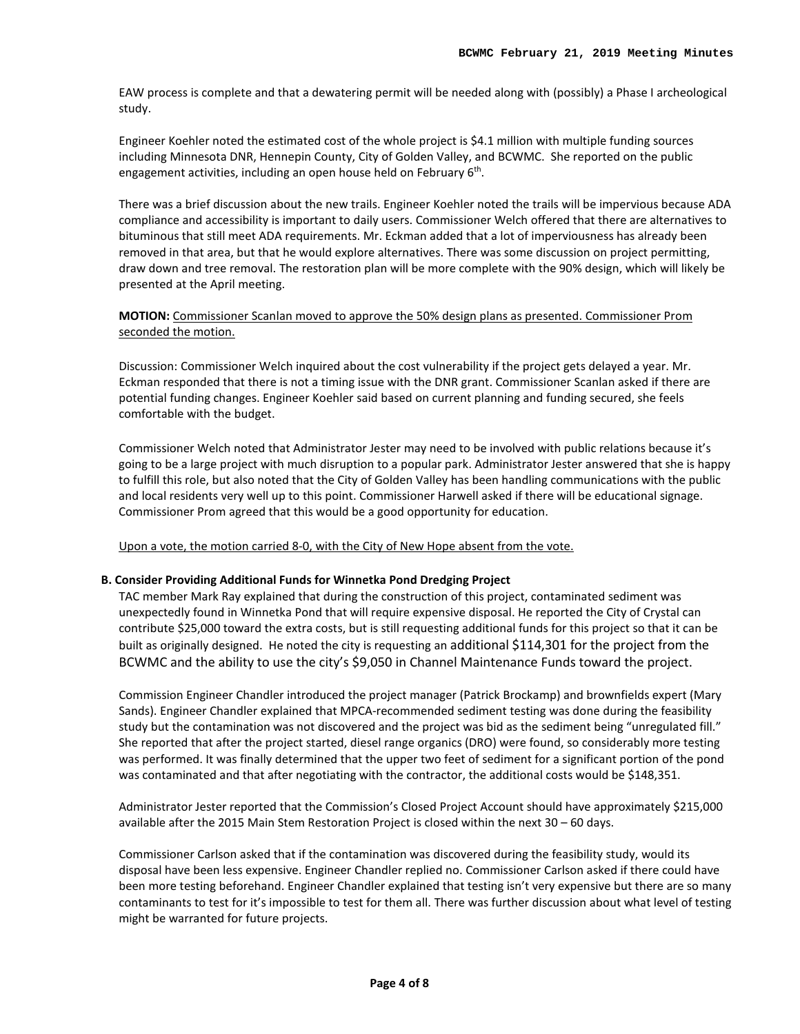EAW process is complete and that a dewatering permit will be needed along with (possibly) a Phase I archeological study.

Engineer Koehler noted the estimated cost of the whole project is \$4.1 million with multiple funding sources including Minnesota DNR, Hennepin County, City of Golden Valley, and BCWMC. She reported on the public engagement activities, including an open house held on February 6<sup>th</sup>.

There was a brief discussion about the new trails. Engineer Koehler noted the trails will be impervious because ADA compliance and accessibility is important to daily users. Commissioner Welch offered that there are alternatives to bituminous that still meet ADA requirements. Mr. Eckman added that a lot of imperviousness has already been removed in that area, but that he would explore alternatives. There was some discussion on project permitting, draw down and tree removal. The restoration plan will be more complete with the 90% design, which will likely be presented at the April meeting.

## **MOTION:** Commissioner Scanlan moved to approve the 50% design plans as presented. Commissioner Prom seconded the motion.

Discussion: Commissioner Welch inquired about the cost vulnerability if the project gets delayed a year. Mr. Eckman responded that there is not a timing issue with the DNR grant. Commissioner Scanlan asked if there are potential funding changes. Engineer Koehler said based on current planning and funding secured, she feels comfortable with the budget.

Commissioner Welch noted that Administrator Jester may need to be involved with public relations because it's going to be a large project with much disruption to a popular park. Administrator Jester answered that she is happy to fulfill this role, but also noted that the City of Golden Valley has been handling communications with the public and local residents very well up to this point. Commissioner Harwell asked if there will be educational signage. Commissioner Prom agreed that this would be a good opportunity for education.

Upon a vote, the motion carried 8-0, with the City of New Hope absent from the vote.

## **B. Consider Providing Additional Funds for Winnetka Pond Dredging Project**

TAC member Mark Ray explained that during the construction of this project, contaminated sediment was unexpectedly found in Winnetka Pond that will require expensive disposal. He reported the City of Crystal can contribute \$25,000 toward the extra costs, but is still requesting additional funds for this project so that it can be built as originally designed. He noted the city is requesting an additional \$114,301 for the project from the BCWMC and the ability to use the city's \$9,050 in Channel Maintenance Funds toward the project.

Commission Engineer Chandler introduced the project manager (Patrick Brockamp) and brownfields expert (Mary Sands). Engineer Chandler explained that MPCA-recommended sediment testing was done during the feasibility study but the contamination was not discovered and the project was bid as the sediment being "unregulated fill." She reported that after the project started, diesel range organics (DRO) were found, so considerably more testing was performed. It was finally determined that the upper two feet of sediment for a significant portion of the pond was contaminated and that after negotiating with the contractor, the additional costs would be \$148,351.

Administrator Jester reported that the Commission's Closed Project Account should have approximately \$215,000 available after the 2015 Main Stem Restoration Project is closed within the next 30 – 60 days.

Commissioner Carlson asked that if the contamination was discovered during the feasibility study, would its disposal have been less expensive. Engineer Chandler replied no. Commissioner Carlson asked if there could have been more testing beforehand. Engineer Chandler explained that testing isn't very expensive but there are so many contaminants to test for it's impossible to test for them all. There was further discussion about what level of testing might be warranted for future projects.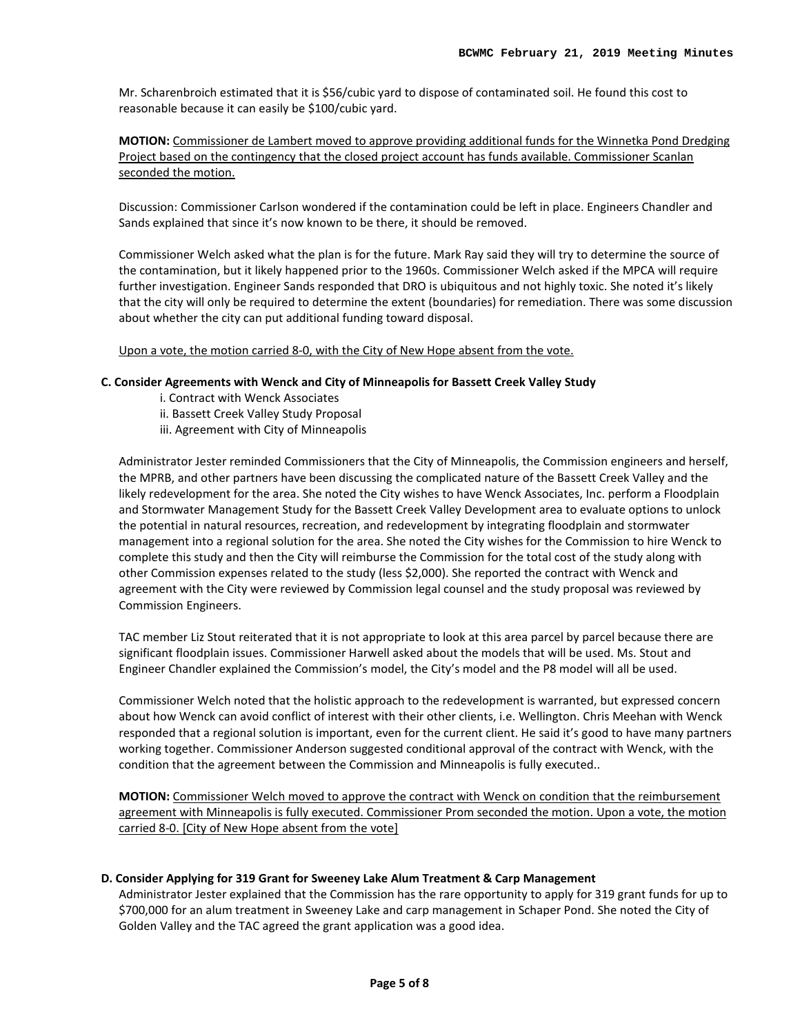Mr. Scharenbroich estimated that it is \$56/cubic yard to dispose of contaminated soil. He found this cost to reasonable because it can easily be \$100/cubic yard.

**MOTION:** Commissioner de Lambert moved to approve providing additional funds for the Winnetka Pond Dredging Project based on the contingency that the closed project account has funds available. Commissioner Scanlan seconded the motion.

Discussion: Commissioner Carlson wondered if the contamination could be left in place. Engineers Chandler and Sands explained that since it's now known to be there, it should be removed.

Commissioner Welch asked what the plan is for the future. Mark Ray said they will try to determine the source of the contamination, but it likely happened prior to the 1960s. Commissioner Welch asked if the MPCA will require further investigation. Engineer Sands responded that DRO is ubiquitous and not highly toxic. She noted it's likely that the city will only be required to determine the extent (boundaries) for remediation. There was some discussion about whether the city can put additional funding toward disposal.

Upon a vote, the motion carried 8-0, with the City of New Hope absent from the vote.

## **C. Consider Agreements with Wenck and City of Minneapolis for Bassett Creek Valley Study**

- i. Contract with Wenck Associates
- ii. Bassett Creek Valley Study Proposal
- iii. Agreement with City of Minneapolis

Administrator Jester reminded Commissioners that the City of Minneapolis, the Commission engineers and herself, the MPRB, and other partners have been discussing the complicated nature of the Bassett Creek Valley and the likely redevelopment for the area. She noted the City wishes to have Wenck Associates, Inc. perform a Floodplain and Stormwater Management Study for the Bassett Creek Valley Development area to evaluate options to unlock the potential in natural resources, recreation, and redevelopment by integrating floodplain and stormwater management into a regional solution for the area. She noted the City wishes for the Commission to hire Wenck to complete this study and then the City will reimburse the Commission for the total cost of the study along with other Commission expenses related to the study (less \$2,000). She reported the contract with Wenck and agreement with the City were reviewed by Commission legal counsel and the study proposal was reviewed by Commission Engineers.

TAC member Liz Stout reiterated that it is not appropriate to look at this area parcel by parcel because there are significant floodplain issues. Commissioner Harwell asked about the models that will be used. Ms. Stout and Engineer Chandler explained the Commission's model, the City's model and the P8 model will all be used.

Commissioner Welch noted that the holistic approach to the redevelopment is warranted, but expressed concern about how Wenck can avoid conflict of interest with their other clients, i.e. Wellington. Chris Meehan with Wenck responded that a regional solution is important, even for the current client. He said it's good to have many partners working together. Commissioner Anderson suggested conditional approval of the contract with Wenck, with the condition that the agreement between the Commission and Minneapolis is fully executed..

**MOTION:** Commissioner Welch moved to approve the contract with Wenck on condition that the reimbursement agreement with Minneapolis is fully executed. Commissioner Prom seconded the motion. Upon a vote, the motion carried 8-0. [City of New Hope absent from the vote]

#### **D. Consider Applying for 319 Grant for Sweeney Lake Alum Treatment & Carp Management**

Administrator Jester explained that the Commission has the rare opportunity to apply for 319 grant funds for up to \$700,000 for an alum treatment in Sweeney Lake and carp management in Schaper Pond. She noted the City of Golden Valley and the TAC agreed the grant application was a good idea.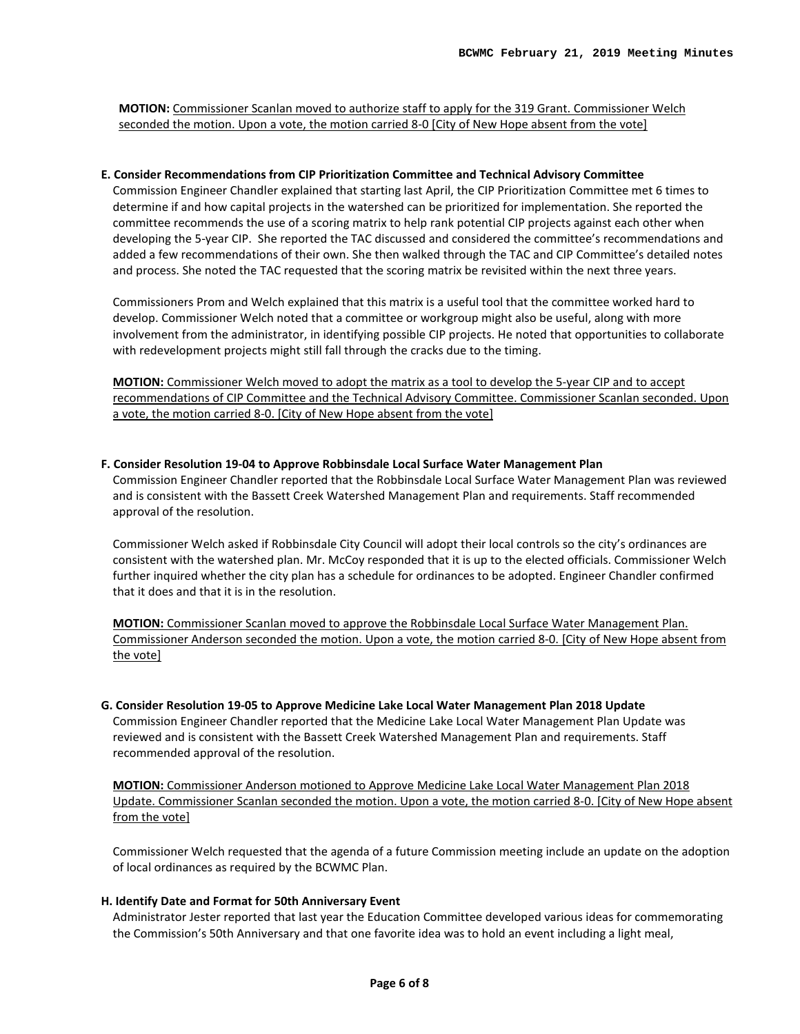**MOTION:** Commissioner Scanlan moved to authorize staff to apply for the 319 Grant. Commissioner Welch seconded the motion. Upon a vote, the motion carried 8-0 [City of New Hope absent from the vote]

#### **E. Consider Recommendations from CIP Prioritization Committee and Technical Advisory Committee**

Commission Engineer Chandler explained that starting last April, the CIP Prioritization Committee met 6 times to determine if and how capital projects in the watershed can be prioritized for implementation. She reported the committee recommends the use of a scoring matrix to help rank potential CIP projects against each other when developing the 5-year CIP. She reported the TAC discussed and considered the committee's recommendations and added a few recommendations of their own. She then walked through the TAC and CIP Committee's detailed notes and process. She noted the TAC requested that the scoring matrix be revisited within the next three years.

Commissioners Prom and Welch explained that this matrix is a useful tool that the committee worked hard to develop. Commissioner Welch noted that a committee or workgroup might also be useful, along with more involvement from the administrator, in identifying possible CIP projects. He noted that opportunities to collaborate with redevelopment projects might still fall through the cracks due to the timing.

**MOTION:** Commissioner Welch moved to adopt the matrix as a tool to develop the 5-year CIP and to accept recommendations of CIP Committee and the Technical Advisory Committee. Commissioner Scanlan seconded. Upon a vote, the motion carried 8-0. [City of New Hope absent from the vote]

#### **F. Consider Resolution 19-04 to Approve Robbinsdale Local Surface Water Management Plan**

Commission Engineer Chandler reported that the Robbinsdale Local Surface Water Management Plan was reviewed and is consistent with the Bassett Creek Watershed Management Plan and requirements. Staff recommended approval of the resolution.

Commissioner Welch asked if Robbinsdale City Council will adopt their local controls so the city's ordinances are consistent with the watershed plan. Mr. McCoy responded that it is up to the elected officials. Commissioner Welch further inquired whether the city plan has a schedule for ordinances to be adopted. Engineer Chandler confirmed that it does and that it is in the resolution.

**MOTION:** Commissioner Scanlan moved to approve the Robbinsdale Local Surface Water Management Plan. Commissioner Anderson seconded the motion. Upon a vote, the motion carried 8-0. [City of New Hope absent from the vote]

# **G. Consider Resolution 19-05 to Approve Medicine Lake Local Water Management Plan 2018 Update**

Commission Engineer Chandler reported that the Medicine Lake Local Water Management Plan Update was reviewed and is consistent with the Bassett Creek Watershed Management Plan and requirements. Staff recommended approval of the resolution.

**MOTION:** Commissioner Anderson motioned to Approve Medicine Lake Local Water Management Plan 2018 Update. Commissioner Scanlan seconded the motion. Upon a vote, the motion carried 8-0. [City of New Hope absent from the vote]

Commissioner Welch requested that the agenda of a future Commission meeting include an update on the adoption of local ordinances as required by the BCWMC Plan.

#### **H. Identify Date and Format for 50th Anniversary Event**

Administrator Jester reported that last year the Education Committee developed various ideas for commemorating the Commission's 50th Anniversary and that one favorite idea was to hold an event including a light meal,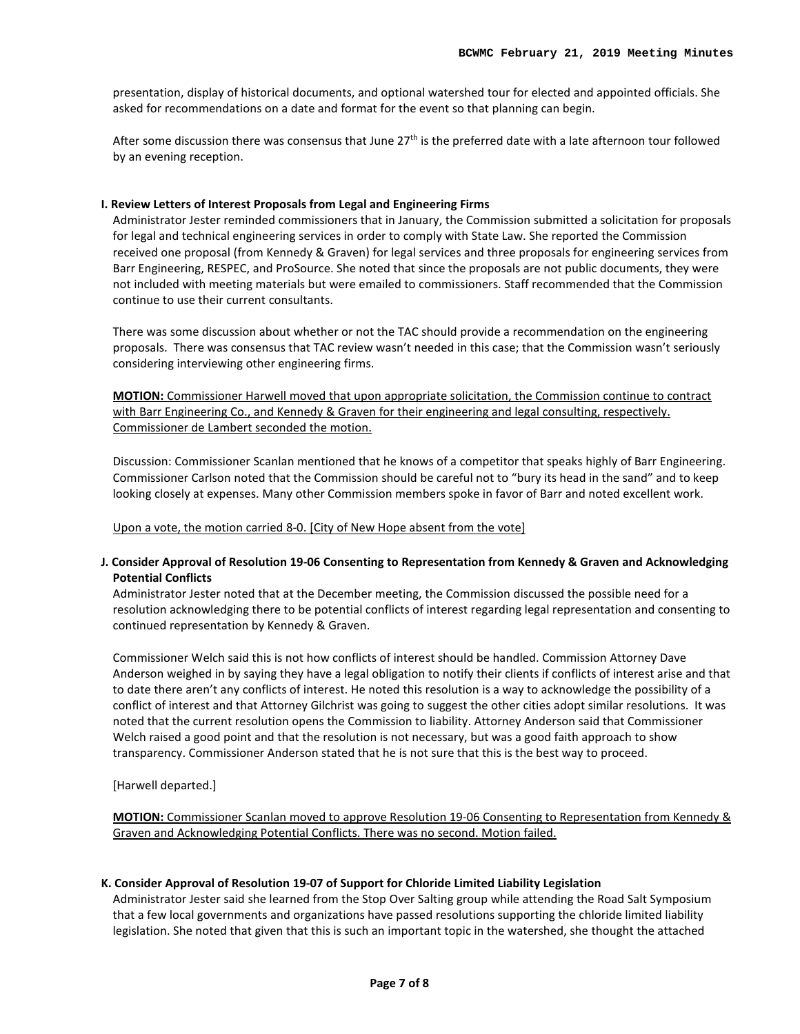presentation, display of historical documents, and optional watershed tour for elected and appointed officials. She asked for recommendations on a date and format for the event so that planning can begin.

After some discussion there was consensus that June 27<sup>th</sup> is the preferred date with a late afternoon tour followed by an evening reception.

## **I. Review Letters of Interest Proposals from Legal and Engineering Firms**

Administrator Jester reminded commissioners that in January, the Commission submitted a solicitation for proposals for legal and technical engineering services in order to comply with State Law. She reported the Commission received one proposal (from Kennedy & Graven) for legal services and three proposals for engineering services from Barr Engineering, RESPEC, and ProSource. She noted that since the proposals are not public documents, they were not included with meeting materials but were emailed to commissioners. Staff recommended that the Commission continue to use their current consultants.

There was some discussion about whether or not the TAC should provide a recommendation on the engineering proposals. There was consensus that TAC review wasn't needed in this case; that the Commission wasn't seriously considering interviewing other engineering firms.

**MOTION:** Commissioner Harwell moved that upon appropriate solicitation, the Commission continue to contract with Barr Engineering Co., and Kennedy & Graven for their engineering and legal consulting, respectively. Commissioner de Lambert seconded the motion.

Discussion: Commissioner Scanlan mentioned that he knows of a competitor that speaks highly of Barr Engineering. Commissioner Carlson noted that the Commission should be careful not to "bury its head in the sand" and to keep looking closely at expenses. Many other Commission members spoke in favor of Barr and noted excellent work.

Upon a vote, the motion carried 8-0. [City of New Hope absent from the vote]

## **J. Consider Approval of Resolution 19-06 Consenting to Representation from Kennedy & Graven and Acknowledging Potential Conflicts**

Administrator Jester noted that at the December meeting, the Commission discussed the possible need for a resolution acknowledging there to be potential conflicts of interest regarding legal representation and consenting to continued representation by Kennedy & Graven.

Commissioner Welch said this is not how conflicts of interest should be handled. Commission Attorney Dave Anderson weighed in by saying they have a legal obligation to notify their clients if conflicts of interest arise and that to date there aren't any conflicts of interest. He noted this resolution is a way to acknowledge the possibility of a conflict of interest and that Attorney Gilchrist was going to suggest the other cities adopt similar resolutions. It was noted that the current resolution opens the Commission to liability. Attorney Anderson said that Commissioner Welch raised a good point and that the resolution is not necessary, but was a good faith approach to show transparency. Commissioner Anderson stated that he is not sure that this is the best way to proceed.

[Harwell departed.]

**MOTION:** Commissioner Scanlan moved to approve Resolution 19-06 Consenting to Representation from Kennedy & Graven and Acknowledging Potential Conflicts. There was no second. Motion failed.

#### **K. Consider Approval of Resolution 19-07 of Support for Chloride Limited Liability Legislation**

Administrator Jester said she learned from the Stop Over Salting group while attending the Road Salt Symposium that a few local governments and organizations have passed resolutions supporting the chloride limited liability legislation. She noted that given that this is such an important topic in the watershed, she thought the attached